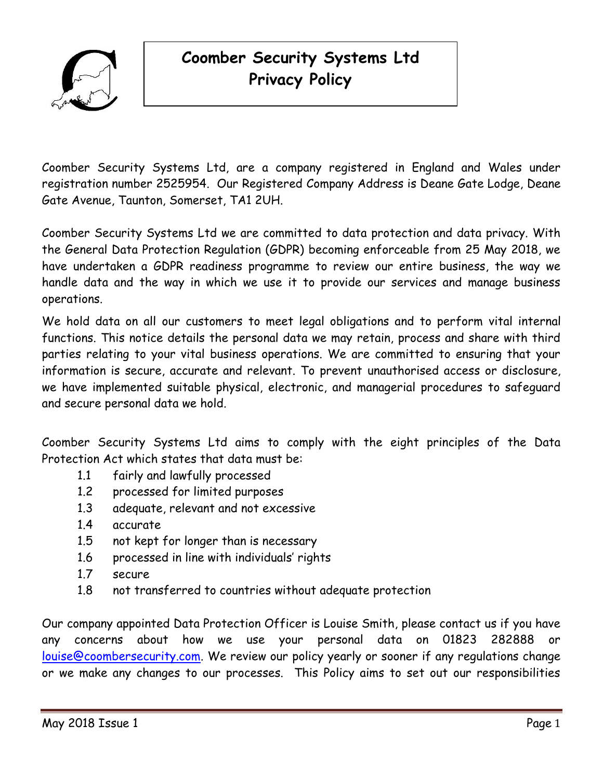

# **Coomber Security Systems Ltd Privacy Policy**

Coomber Security Systems Ltd, are a company registered in England and Wales under registration number 2525954. Our Registered Company Address is Deane Gate Lodge, Deane Gate Avenue, Taunton, Somerset, TA1 2UH.

Coomber Security Systems Ltd we are committed to data protection and data privacy. With the General Data Protection Regulation (GDPR) becoming enforceable from 25 May 2018, we have undertaken a GDPR readiness programme to review our entire business, the way we handle data and the way in which we use it to provide our services and manage business operations.

We hold data on all our customers to meet legal obligations and to perform vital internal functions. This notice details the personal data we may retain, process and share with third parties relating to your vital business operations. We are committed to ensuring that your information is secure, accurate and relevant. To prevent unauthorised access or disclosure, we have implemented suitable physical, electronic, and managerial procedures to safeguard and secure personal data we hold.

Coomber Security Systems Ltd aims to comply with the eight principles of the Data Protection Act which states that data must be:

- 1.1 fairly and lawfully processed
- 1.2 processed for limited purposes
- 1.3 adequate, relevant and not excessive
- 1.4 accurate
- 1.5 not kept for longer than is necessary
- 1.6 processed in line with individuals' rights
- 1.7 secure
- 1.8 not transferred to countries without adequate protection

Our company appointed Data Protection Officer is Louise Smith, please contact us if you have any concerns about how we use your personal data on 01823 282888 [louise@coombersecurity.com.](mailto:louise@coombersecurity.com) We review our policy yearly or sooner if any regulations change or we make any changes to our processes. This Policy aims to set out our responsibilities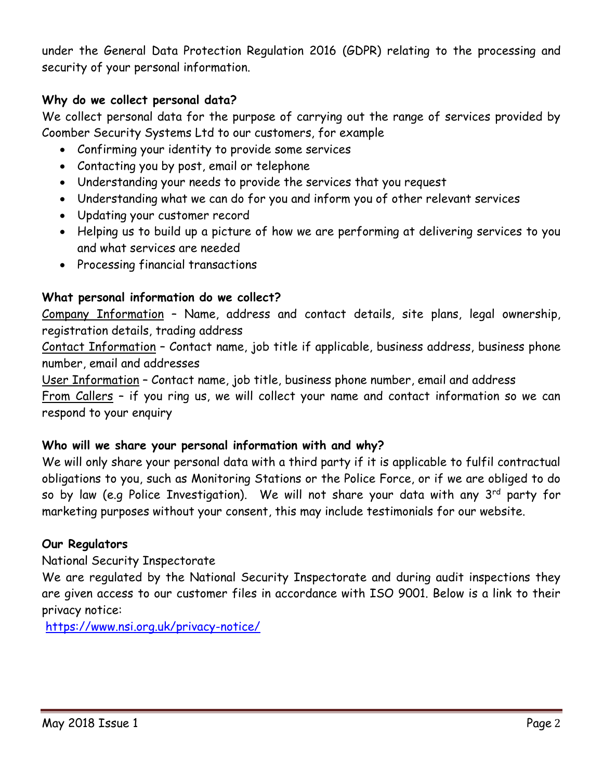under the General Data Protection Regulation 2016 (GDPR) relating to the processing and security of your personal information.

# **Why do we collect personal data?**

We collect personal data for the purpose of carrying out the range of services provided by Coomber Security Systems Ltd to our customers, for example

- Confirming your identity to provide some services
- Contacting you by post, email or telephone
- Understanding your needs to provide the services that you request
- Understanding what we can do for you and inform you of other relevant services
- Updating your customer record
- Helping us to build up a picture of how we are performing at delivering services to you and what services are needed
- Processing financial transactions

# **What personal information do we collect?**

Company Information – Name, address and contact details, site plans, legal ownership, registration details, trading address

Contact Information – Contact name, job title if applicable, business address, business phone number, email and addresses

User Information – Contact name, job title, business phone number, email and address From Callers - if you ring us, we will collect your name and contact information so we can respond to your enquiry

## **Who will we share your personal information with and why?**

We will only share your personal data with a third party if it is applicable to fulfil contractual obligations to you, such as Monitoring Stations or the Police Force, or if we are obliged to do so by law (e.g Police Investigation). We will not share your data with any  $3^{rd}$  party for marketing purposes without your consent, this may include testimonials for our website.

## **Our Regulators**

National Security Inspectorate

We are regulated by the National Security Inspectorate and during audit inspections they are given access to our customer files in accordance with ISO 9001. Below is a link to their privacy notice:

<https://www.nsi.org.uk/privacy-notice/>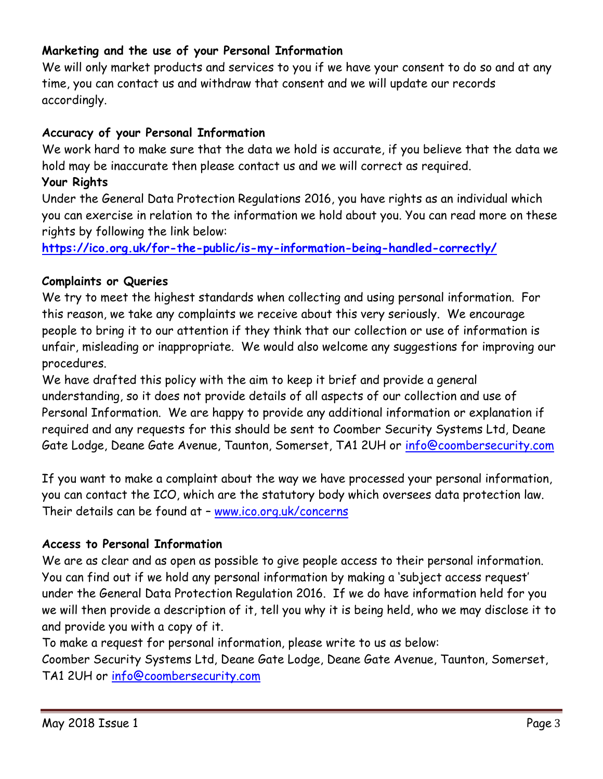# **Marketing and the use of your Personal Information**

We will only market products and services to you if we have your consent to do so and at any time, you can contact us and withdraw that consent and we will update our records accordingly.

## **Accuracy of your Personal Information**

We work hard to make sure that the data we hold is accurate, if you believe that the data we hold may be inaccurate then please contact us and we will correct as required.

# **Your Rights**

Under the General Data Protection Regulations 2016, you have rights as an individual which you can exercise in relation to the information we hold about you. You can read more on these rights by following the link below:

**<https://ico.org.uk/for-the-public/is-my-information-being-handled-correctly/>**

## **Complaints or Queries**

We try to meet the highest standards when collecting and using personal information. For this reason, we take any complaints we receive about this very seriously. We encourage people to bring it to our attention if they think that our collection or use of information is unfair, misleading or inappropriate. We would also welcome any suggestions for improving our procedures.

We have drafted this policy with the aim to keep it brief and provide a general understanding, so it does not provide details of all aspects of our collection and use of Personal Information. We are happy to provide any additional information or explanation if required and any requests for this should be sent to Coomber Security Systems Ltd, Deane Gate Lodge, Deane Gate Avenue, Taunton, Somerset, TA1 2UH or [info@coombersecurity.com](mailto:info@coombersecurity.com)

If you want to make a complaint about the way we have processed your personal information, you can contact the ICO, which are the statutory body which oversees data protection law. Their details can be found at – [www.ico.org.uk/concerns](http://www.ico.org.uk/concerns)

## **Access to Personal Information**

We are as clear and as open as possible to give people access to their personal information. You can find out if we hold any personal information by making a 'subject access request' under the General Data Protection Regulation 2016. If we do have information held for you we will then provide a description of it, tell you why it is being held, who we may disclose it to and provide you with a copy of it.

To make a request for personal information, please write to us as below: Coomber Security Systems Ltd, Deane Gate Lodge, Deane Gate Avenue, Taunton, Somerset, TA1 2UH or [info@coombersecurity.com](mailto:info@coombersecurity.com)